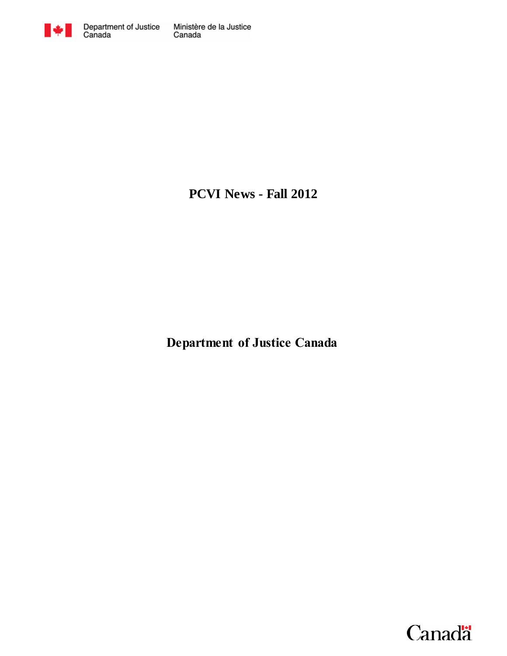

**PCVI News - Fall 2012**

**Department of Justice Canada**

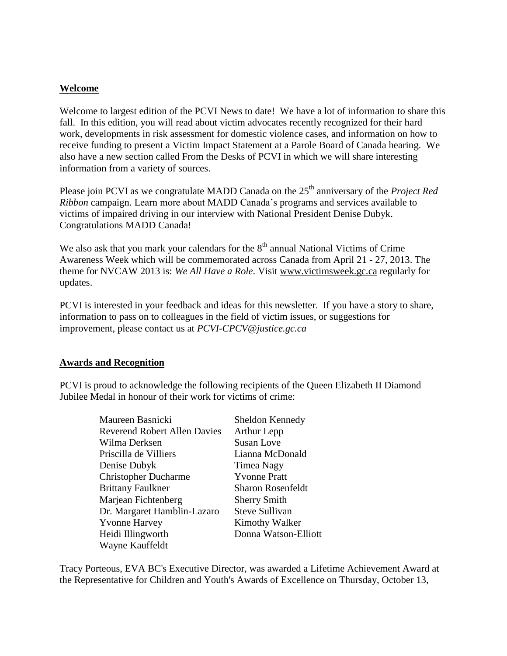### **Welcome**

Welcome to largest edition of the PCVI News to date! We have a lot of information to share this fall. In this edition, you will read about victim advocates recently recognized for their hard work, developments in risk assessment for domestic violence cases, and information on how to receive funding to present a Victim Impact Statement at a Parole Board of Canada hearing. We also have a new section called From the Desks of PCVI in which we will share interesting information from a variety of sources.

Please join PCVI as we congratulate MADD Canada on the 25<sup>th</sup> anniversary of the *Project Red Ribbon* campaign. Learn more about MADD Canada's programs and services available to victims of impaired driving in our interview with National President Denise Dubyk. Congratulations MADD Canada!

We also ask that you mark your calendars for the  $8<sup>th</sup>$  annual National Victims of Crime Awareness Week which will be commemorated across Canada from April 21 - 27, 2013. The theme for NVCAW 2013 is: *We All Have a Role*. Visit [www.victimsweek.gc.ca](http://www.victimsweek.gc.ca/) regularly for updates.

PCVI is interested in your feedback and ideas for this newsletter. If you have a story to share, information to pass on to colleagues in the field of victim issues, or suggestions for improvement, please contact us at *[PCVI-CPCV@justice.gc.ca](mailto:PCVI-CPCV@justice.gc.ca)*

#### **Awards and Recognition**

PCVI is proud to acknowledge the following recipients of the Queen Elizabeth II Diamond Jubilee Medal in honour of their work for victims of crime:

| Maureen Basnicki                    | Sheldon Kennedy          |
|-------------------------------------|--------------------------|
| <b>Reverend Robert Allen Davies</b> | <b>Arthur Lepp</b>       |
| Wilma Derksen                       | Susan Love               |
| Priscilla de Villiers               | Lianna McDonald          |
| Denise Dubyk                        | Timea Nagy               |
| <b>Christopher Ducharme</b>         | <b>Yvonne Pratt</b>      |
| <b>Brittany Faulkner</b>            | <b>Sharon Rosenfeldt</b> |
| Marjean Fichtenberg                 | <b>Sherry Smith</b>      |
| Dr. Margaret Hamblin-Lazaro         | Steve Sullivan           |
| <b>Yvonne Harvey</b>                | <b>Kimothy Walker</b>    |
| Heidi Illingworth                   | Donna Watson-Elliott     |
| Wayne Kauffeldt                     |                          |

Tracy Porteous, EVA BC's Executive Director, was awarded a Lifetime Achievement Award at the Representative for Children and Youth's Awards of Excellence on Thursday, October 13,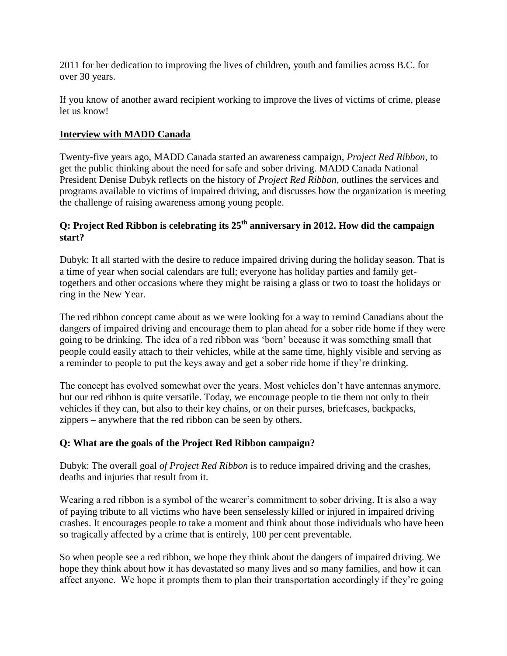2011 for her dedication to improving the lives of children, youth and families across B.C. for over 30 years.

If you know of another award recipient working to improve the lives of victims of crime, please let us know!

## **Interview with MADD Canada**

Twenty-five years ago, MADD Canada started an awareness campaign, *Project Red Ribbon,* to get the public thinking about the need for safe and sober driving. MADD Canada National President Denise Dubyk reflects on the history of *Project Red Ribbon,* outlines the services and programs available to victims of impaired driving, and discusses how the organization is meeting the challenge of raising awareness among young people.

# **Q: Project Red Ribbon is celebrating its 25th anniversary in 2012. How did the campaign start?**

Dubyk: It all started with the desire to reduce impaired driving during the holiday season. That is a time of year when social calendars are full; everyone has holiday parties and family gettogethers and other occasions where they might be raising a glass or two to toast the holidays or ring in the New Year.

The red ribbon concept came about as we were looking for a way to remind Canadians about the dangers of impaired driving and encourage them to plan ahead for a sober ride home if they were going to be drinking. The idea of a red ribbon was 'born' because it was something small that people could easily attach to their vehicles, while at the same time, highly visible and serving as a reminder to people to put the keys away and get a sober ride home if they're drinking.

The concept has evolved somewhat over the years. Most vehicles don't have antennas anymore, but our red ribbon is quite versatile. Today, we encourage people to tie them not only to their vehicles if they can, but also to their key chains, or on their purses, briefcases, backpacks, zippers – anywhere that the red ribbon can be seen by others.

## **Q: What are the goals of the Project Red Ribbon campaign?**

Dubyk: The overall goal *of Project Red Ribbon* is to reduce impaired driving and the crashes, deaths and injuries that result from it.

Wearing a red ribbon is a symbol of the wearer's commitment to sober driving. It is also a way of paying tribute to all victims who have been senselessly killed or injured in impaired driving crashes. It encourages people to take a moment and think about those individuals who have been so tragically affected by a crime that is entirely, 100 per cent preventable.

So when people see a red ribbon, we hope they think about the dangers of impaired driving. We hope they think about how it has devastated so many lives and so many families, and how it can affect anyone. We hope it prompts them to plan their transportation accordingly if they're going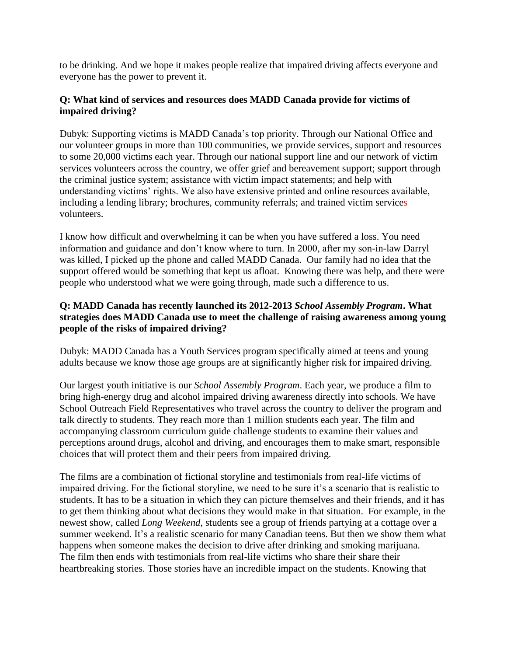to be drinking. And we hope it makes people realize that impaired driving affects everyone and everyone has the power to prevent it.

## **Q: What kind of services and resources does MADD Canada provide for victims of impaired driving?**

Dubyk: Supporting victims is MADD Canada's top priority. Through our National Office and our volunteer groups in more than 100 communities, we provide services, support and resources to some 20,000 victims each year. Through our national support line and our network of victim services volunteers across the country, we offer grief and bereavement support; support through the criminal justice system; assistance with victim impact statements; and help with understanding victims' rights. We also have extensive printed and online resources available, including a lending library; brochures, community referrals; and trained victim services volunteers.

I know how difficult and overwhelming it can be when you have suffered a loss. You need information and guidance and don't know where to turn. In 2000, after my son-in-law Darryl was killed, I picked up the phone and called MADD Canada. Our family had no idea that the support offered would be something that kept us afloat. Knowing there was help, and there were people who understood what we were going through, made such a difference to us.

# **Q: MADD Canada has recently launched its 2012-2013** *School Assembly Program***. What strategies does MADD Canada use to meet the challenge of raising awareness among young people of the risks of impaired driving?**

Dubyk: MADD Canada has a Youth Services program specifically aimed at teens and young adults because we know those age groups are at significantly higher risk for impaired driving.

Our largest youth initiative is our *School Assembly Program*. Each year, we produce a film to bring high-energy drug and alcohol impaired driving awareness directly into schools. We have School Outreach Field Representatives who travel across the country to deliver the program and talk directly to students. They reach more than 1 million students each year. The film and accompanying classroom curriculum guide challenge students to examine their values and perceptions around drugs, alcohol and driving, and encourages them to make smart, responsible choices that will protect them and their peers from impaired driving.

The films are a combination of fictional storyline and testimonials from real-life victims of impaired driving. For the fictional storyline, we need to be sure it's a scenario that is realistic to students. It has to be a situation in which they can picture themselves and their friends, and it has to get them thinking about what decisions they would make in that situation. For example, in the newest show, called *Long Weekend*, students see a group of friends partying at a cottage over a summer weekend. It's a realistic scenario for many Canadian teens. But then we show them what happens when someone makes the decision to drive after drinking and smoking marijuana. The film then ends with testimonials from real-life victims who share their share their heartbreaking stories. Those stories have an incredible impact on the students. Knowing that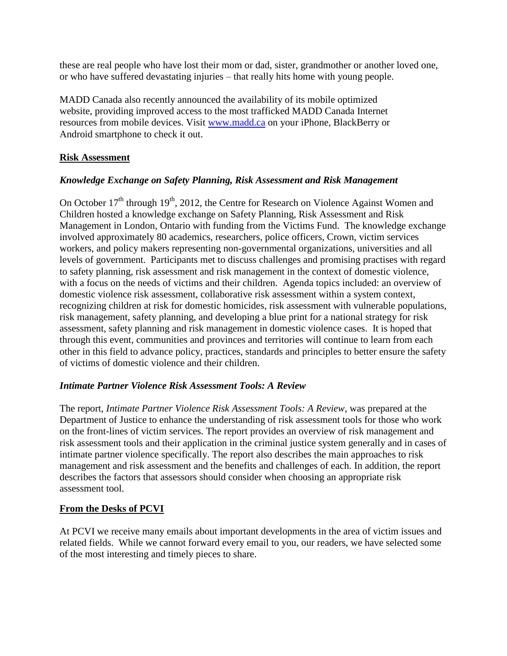these are real people who have lost their mom or dad, sister, grandmother or another loved one, or who have suffered devastating injuries – that really hits home with young people.

MADD Canada also recently announced the availability of its mobile optimized website, providing improved access to the most trafficked MADD Canada Internet resources from mobile devices. Visit [www.madd.ca](http://www.madd.ca/) on your iPhone, BlackBerry or Android smartphone to check it out.

# **Risk Assessment**

# *Knowledge Exchange on Safety Planning, Risk Assessment and Risk Management*

On October 17<sup>th</sup> through 19<sup>th</sup>, 2012, the Centre for Research on Violence Against Women and Children hosted a knowledge exchange on Safety Planning, Risk Assessment and Risk Management in London, Ontario with funding from the Victims Fund. The knowledge exchange involved approximately 80 academics, researchers, police officers, Crown, victim services workers, and policy makers representing non-governmental organizations, universities and all levels of government. Participants met to discuss challenges and promising practises with regard to safety planning, risk assessment and risk management in the context of domestic violence, with a focus on the needs of victims and their children. Agenda topics included: an overview of domestic violence risk assessment, collaborative risk assessment within a system context, recognizing children at risk for domestic homicides, risk assessment with vulnerable populations, risk management, safety planning, and developing a blue print for a national strategy for risk assessment, safety planning and risk management in domestic violence cases. It is hoped that through this event, communities and provinces and territories will continue to learn from each other in this field to advance policy, practices, standards and principles to better ensure the safety of victims of domestic violence and their children.

## *Intimate Partner Violence Risk Assessment Tools: A Review*

The report, *Intimate Partner Violence Risk Assessment Tools: A Review*, was prepared at the Department of Justice to enhance the understanding of risk assessment tools for those who work on the front-lines of victim services. The report provides an overview of risk management and risk assessment tools and their application in the criminal justice system generally and in cases of intimate partner violence specifically. The report also describes the main approaches to risk management and risk assessment and the benefits and challenges of each. In addition, the report describes the factors that assessors should consider when choosing an appropriate risk assessment tool.

## **From the Desks of PCVI**

At PCVI we receive many emails about important developments in the area of victim issues and related fields. While we cannot forward every email to you, our readers, we have selected some of the most interesting and timely pieces to share.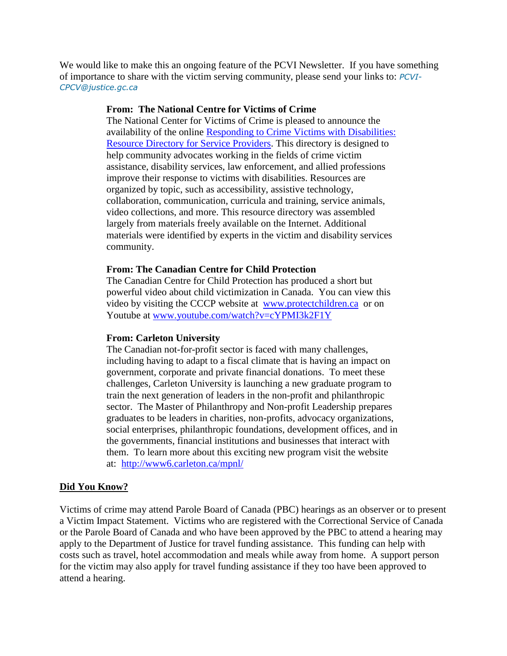We would like to make this an ongoing feature of the PCVI Newsletter. If you have something of importance to share with the victim serving community, please send your links to: *[PCVI-](mailto:PCVI-CPCV@justice.gc.ca)[CPCV@justice.gc.ca](mailto:PCVI-CPCV@justice.gc.ca)*

### **From: The National Centre for Victims of Crime**

The National Center for Victims of Crime is pleased to announce the availability of the online [Responding to Crime Victims with Disabilities:](http://r20.rs6.net/tn.jsp?e=00103Fl8HYnwthn3SWX1s67LxAOchR8PwwdokYlMOAC23yLm-KXmglXTo1tTN4g7uI792QXPvA2m1CHNpTCAl2l7DT6uPztnz2kHiY7Z94e5NPGZ5Rzf3EWR3LU6oEeMoIDAlnAQvdjUkr3_jbQLCXYtNovVwvlRdztI_t94_uz6ViIp9wlMUo3KWkOSw8MNKpB)  [Resource Directory for Service Providers.](http://r20.rs6.net/tn.jsp?e=00103Fl8HYnwthn3SWX1s67LxAOchR8PwwdokYlMOAC23yLm-KXmglXTo1tTN4g7uI792QXPvA2m1CHNpTCAl2l7DT6uPztnz2kHiY7Z94e5NPGZ5Rzf3EWR3LU6oEeMoIDAlnAQvdjUkr3_jbQLCXYtNovVwvlRdztI_t94_uz6ViIp9wlMUo3KWkOSw8MNKpB) This directory is designed to help community advocates working in the fields of crime victim assistance, disability services, law enforcement, and allied professions improve their response to victims with disabilities. Resources are organized by topic, such as accessibility, assistive technology, collaboration, communication, curricula and training, service animals, video collections, and more. This resource directory was assembled largely from materials freely available on the Internet. Additional materials were identified by experts in the victim and disability services community.

### **From: The Canadian Centre for Child Protection**

The Canadian Centre for Child Protection has produced a short but powerful video about child victimization in Canada. You can view this video by visiting the CCCP website at [www.protectchildren.ca](http://www.protectchildren.ca/) or on Youtube at [www.youtube.com/watch?v=cYPMI3k2F1Y](http://www.youtube.com/watch?v=cYPMI3k2F1Y)

#### **From: Carleton University**

The Canadian not-for-profit sector is faced with many challenges, including having to adapt to a fiscal climate that is having an impact on government, corporate and private financial donations. To meet these challenges, Carleton University is launching a new graduate program to train the next generation of leaders in the non-profit and philanthropic sector. The Master of Philanthropy and Non-profit Leadership prepares graduates to be leaders in charities, non-profits, advocacy organizations, social enterprises, philanthropic foundations, development offices, and in the governments, financial institutions and businesses that interact with them. To learn more about this exciting new program visit the website at: <http://www6.carleton.ca/mpnl/>

#### **Did You Know?**

Victims of crime may attend Parole Board of Canada (PBC) hearings as an observer or to present a Victim Impact Statement. Victims who are registered with the Correctional Service of Canada or the Parole Board of Canada and who have been approved by the PBC to attend a hearing may apply to the Department of Justice for travel funding assistance. This funding can help with costs such as travel, hotel accommodation and meals while away from home. A support person for the victim may also apply for travel funding assistance if they too have been approved to attend a hearing.